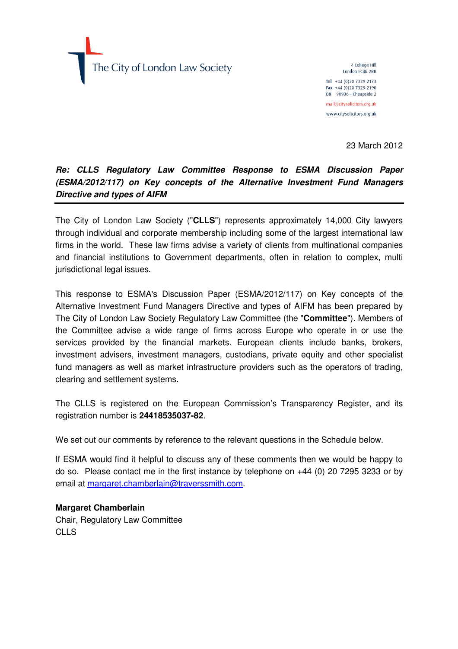The City of London Law Society

4 College Hill London EC4R 2RB Tel +44 (0) 20 7329 2173 Fax +44 (0) 20 7329 2190  $DX$  98936 - Cheapside 2 mail@citysolicitors.org.uk www.citysolicitors.org.uk

23 March 2012

### **Re: CLLS Regulatory Law Committee Response to ESMA Discussion Paper (ESMA/2012/117) on Key concepts of the Alternative Investment Fund Managers Directive and types of AIFM**

The City of London Law Society ("**CLLS**") represents approximately 14,000 City lawyers through individual and corporate membership including some of the largest international law firms in the world. These law firms advise a variety of clients from multinational companies and financial institutions to Government departments, often in relation to complex, multi jurisdictional legal issues.

This response to ESMA's Discussion Paper (ESMA/2012/117) on Key concepts of the Alternative Investment Fund Managers Directive and types of AIFM has been prepared by The City of London Law Society Regulatory Law Committee (the "**Committee**"). Members of the Committee advise a wide range of firms across Europe who operate in or use the services provided by the financial markets. European clients include banks, brokers, investment advisers, investment managers, custodians, private equity and other specialist fund managers as well as market infrastructure providers such as the operators of trading, clearing and settlement systems.

The CLLS is registered on the European Commission's Transparency Register, and its registration number is **24418535037-82**.

We set out our comments by reference to the relevant questions in the Schedule below.

If ESMA would find it helpful to discuss any of these comments then we would be happy to do so. Please contact me in the first instance by telephone on +44 (0) 20 7295 3233 or by email at margaret.chamberlain@traverssmith.com.

**Margaret Chamberlain**  Chair, Regulatory Law Committee CLLS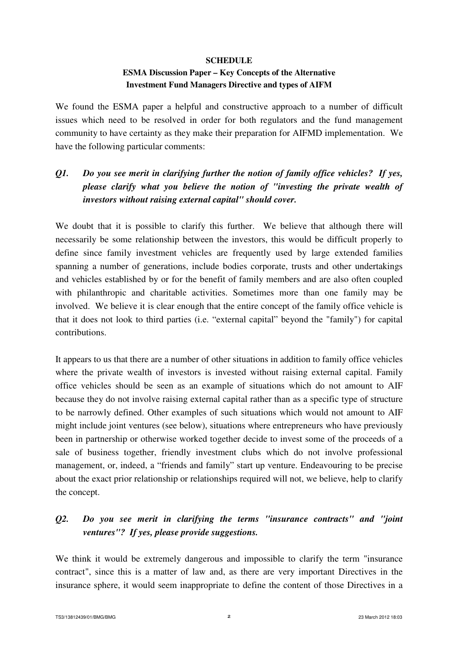#### **SCHEDULE**

#### **ESMA Discussion Paper – Key Concepts of the Alternative Investment Fund Managers Directive and types of AIFM**

We found the ESMA paper a helpful and constructive approach to a number of difficult issues which need to be resolved in order for both regulators and the fund management community to have certainty as they make their preparation for AIFMD implementation. We have the following particular comments:

# *Q1. Do you see merit in clarifying further the notion of family office vehicles? If yes, please clarify what you believe the notion of "investing the private wealth of investors without raising external capital" should cover.*

We doubt that it is possible to clarify this further. We believe that although there will necessarily be some relationship between the investors, this would be difficult properly to define since family investment vehicles are frequently used by large extended families spanning a number of generations, include bodies corporate, trusts and other undertakings and vehicles established by or for the benefit of family members and are also often coupled with philanthropic and charitable activities. Sometimes more than one family may be involved. We believe it is clear enough that the entire concept of the family office vehicle is that it does not look to third parties (i.e. "external capital" beyond the "family") for capital contributions.

It appears to us that there are a number of other situations in addition to family office vehicles where the private wealth of investors is invested without raising external capital. Family office vehicles should be seen as an example of situations which do not amount to AIF because they do not involve raising external capital rather than as a specific type of structure to be narrowly defined. Other examples of such situations which would not amount to AIF might include joint ventures (see below), situations where entrepreneurs who have previously been in partnership or otherwise worked together decide to invest some of the proceeds of a sale of business together, friendly investment clubs which do not involve professional management, or, indeed, a "friends and family" start up venture. Endeavouring to be precise about the exact prior relationship or relationships required will not, we believe, help to clarify the concept.

## *Q2. Do you see merit in clarifying the terms "insurance contracts" and "joint ventures"? If yes, please provide suggestions.*

We think it would be extremely dangerous and impossible to clarify the term "insurance contract", since this is a matter of law and, as there are very important Directives in the insurance sphere, it would seem inappropriate to define the content of those Directives in a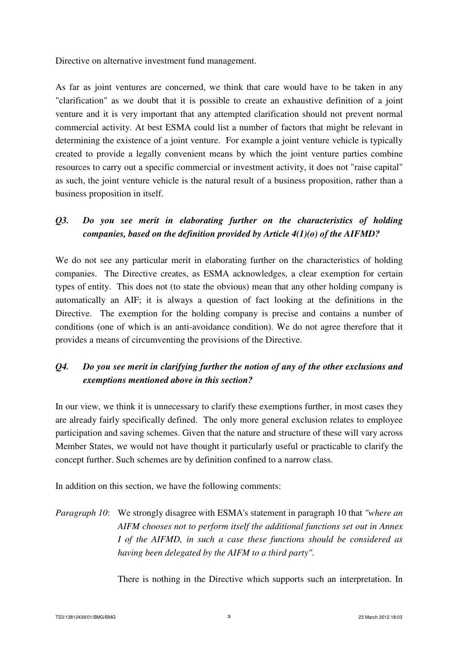Directive on alternative investment fund management.

As far as joint ventures are concerned, we think that care would have to be taken in any "clarification" as we doubt that it is possible to create an exhaustive definition of a joint venture and it is very important that any attempted clarification should not prevent normal commercial activity. At best ESMA could list a number of factors that might be relevant in determining the existence of a joint venture. For example a joint venture vehicle is typically created to provide a legally convenient means by which the joint venture parties combine resources to carry out a specific commercial or investment activity, it does not "raise capital" as such, the joint venture vehicle is the natural result of a business proposition, rather than a business proposition in itself.

### *Q3. Do you see merit in elaborating further on the characteristics of holding companies, based on the definition provided by Article 4(1)(o) of the AIFMD?*

We do not see any particular merit in elaborating further on the characteristics of holding companies. The Directive creates, as ESMA acknowledges, a clear exemption for certain types of entity. This does not (to state the obvious) mean that any other holding company is automatically an AIF; it is always a question of fact looking at the definitions in the Directive. The exemption for the holding company is precise and contains a number of conditions (one of which is an anti-avoidance condition). We do not agree therefore that it provides a means of circumventing the provisions of the Directive.

## *Q4. Do you see merit in clarifying further the notion of any of the other exclusions and exemptions mentioned above in this section?*

In our view, we think it is unnecessary to clarify these exemptions further, in most cases they are already fairly specifically defined. The only more general exclusion relates to employee participation and saving schemes. Given that the nature and structure of these will vary across Member States, we would not have thought it particularly useful or practicable to clarify the concept further. Such schemes are by definition confined to a narrow class.

In addition on this section, we have the following comments:

# *Paragraph 10*: We strongly disagree with ESMA's statement in paragraph 10 that *"where an AIFM chooses not to perform itself the additional functions set out in Annex I of the AIFMD, in such a case these functions should be considered as having been delegated by the AIFM to a third party".*

There is nothing in the Directive which supports such an interpretation. In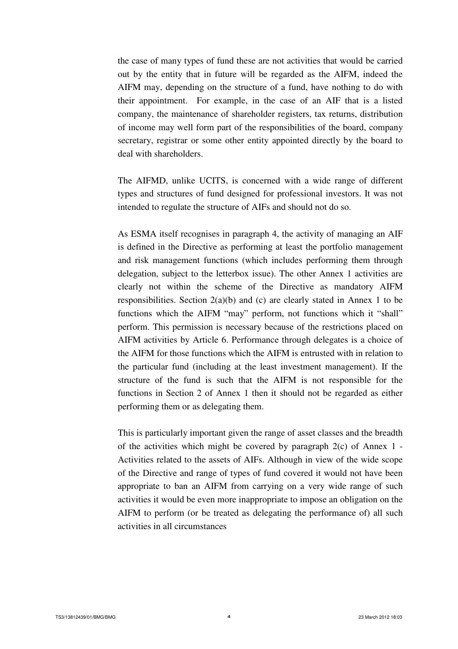the case of many types of fund these are not activities that would be carried out by the entity that in future will be regarded as the AIFM, indeed the AIFM may, depending on the structure of a fund, have nothing to do with their appointment. For example, in the case of an AIF that is a listed company, the maintenance of shareholder registers, tax returns, distribution of income may well form part of the responsibilities of the board, company secretary, registrar or some other entity appointed directly by the board to deal with shareholders.

 The AIFMD, unlike UCITS, is concerned with a wide range of different types and structures of fund designed for professional investors. It was not intended to regulate the structure of AIFs and should not do so.

 As ESMA itself recognises in paragraph 4, the activity of managing an AIF is defined in the Directive as performing at least the portfolio management and risk management functions (which includes performing them through delegation, subject to the letterbox issue). The other Annex 1 activities are clearly not within the scheme of the Directive as mandatory AIFM responsibilities. Section  $2(a)(b)$  and (c) are clearly stated in Annex 1 to be functions which the AIFM "may" perform, not functions which it "shall" perform. This permission is necessary because of the restrictions placed on AIFM activities by Article 6. Performance through delegates is a choice of the AIFM for those functions which the AIFM is entrusted with in relation to the particular fund (including at the least investment management). If the structure of the fund is such that the AIFM is not responsible for the functions in Section 2 of Annex 1 then it should not be regarded as either performing them or as delegating them.

 This is particularly important given the range of asset classes and the breadth of the activities which might be covered by paragraph  $2(c)$  of Annex 1 -Activities related to the assets of AIFs. Although in view of the wide scope of the Directive and range of types of fund covered it would not have been appropriate to ban an AIFM from carrying on a very wide range of such activities it would be even more inappropriate to impose an obligation on the AIFM to perform (or be treated as delegating the performance of) all such activities in all circumstances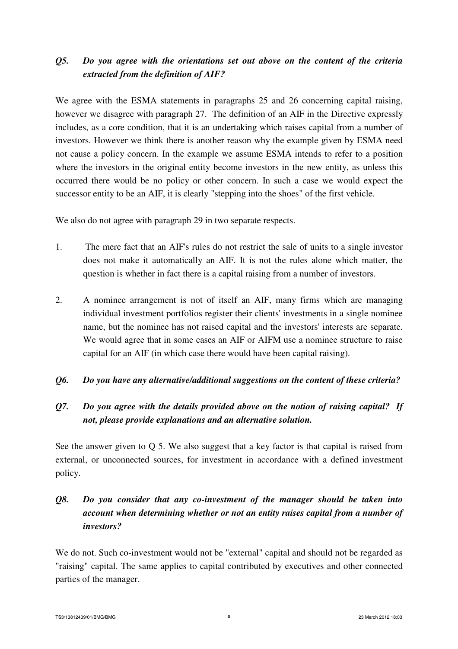## *Q5. Do you agree with the orientations set out above on the content of the criteria extracted from the definition of AIF?*

We agree with the ESMA statements in paragraphs 25 and 26 concerning capital raising, however we disagree with paragraph 27. The definition of an AIF in the Directive expressly includes, as a core condition, that it is an undertaking which raises capital from a number of investors. However we think there is another reason why the example given by ESMA need not cause a policy concern. In the example we assume ESMA intends to refer to a position where the investors in the original entity become investors in the new entity, as unless this occurred there would be no policy or other concern. In such a case we would expect the successor entity to be an AIF, it is clearly "stepping into the shoes" of the first vehicle.

We also do not agree with paragraph 29 in two separate respects.

- 1. The mere fact that an AIF's rules do not restrict the sale of units to a single investor does not make it automatically an AIF. It is not the rules alone which matter, the question is whether in fact there is a capital raising from a number of investors.
- 2. A nominee arrangement is not of itself an AIF, many firms which are managing individual investment portfolios register their clients' investments in a single nominee name, but the nominee has not raised capital and the investors' interests are separate. We would agree that in some cases an AIF or AIFM use a nominee structure to raise capital for an AIF (in which case there would have been capital raising).

#### *Q6. Do you have any alternative/additional suggestions on the content of these criteria?*

## *Q7. Do you agree with the details provided above on the notion of raising capital? If not, please provide explanations and an alternative solution.*

See the answer given to Q 5. We also suggest that a key factor is that capital is raised from external, or unconnected sources, for investment in accordance with a defined investment policy.

# *Q8. Do you consider that any co-investment of the manager should be taken into account when determining whether or not an entity raises capital from a number of investors?*

We do not. Such co-investment would not be "external" capital and should not be regarded as "raising" capital. The same applies to capital contributed by executives and other connected parties of the manager.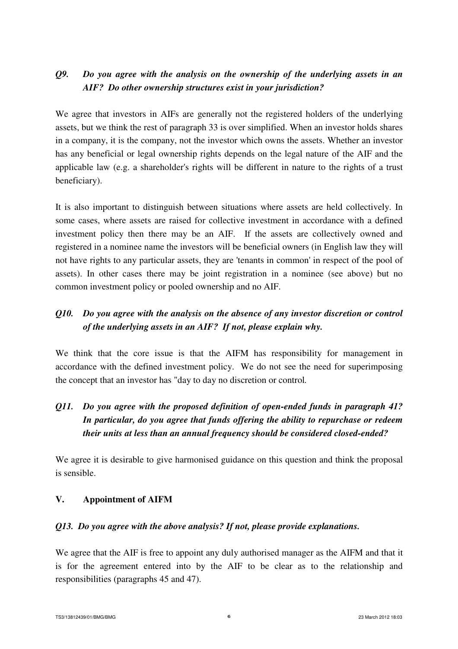### *Q9. Do you agree with the analysis on the ownership of the underlying assets in an AIF? Do other ownership structures exist in your jurisdiction?*

We agree that investors in AIFs are generally not the registered holders of the underlying assets, but we think the rest of paragraph 33 is over simplified. When an investor holds shares in a company, it is the company, not the investor which owns the assets. Whether an investor has any beneficial or legal ownership rights depends on the legal nature of the AIF and the applicable law (e.g. a shareholder's rights will be different in nature to the rights of a trust beneficiary).

It is also important to distinguish between situations where assets are held collectively. In some cases, where assets are raised for collective investment in accordance with a defined investment policy then there may be an AIF. If the assets are collectively owned and registered in a nominee name the investors will be beneficial owners (in English law they will not have rights to any particular assets, they are 'tenants in common' in respect of the pool of assets). In other cases there may be joint registration in a nominee (see above) but no common investment policy or pooled ownership and no AIF.

## *Q10. Do you agree with the analysis on the absence of any investor discretion or control of the underlying assets in an AIF? If not, please explain why.*

We think that the core issue is that the AIFM has responsibility for management in accordance with the defined investment policy. We do not see the need for superimposing the concept that an investor has "day to day no discretion or control*.* 

# *Q11. Do you agree with the proposed definition of open-ended funds in paragraph 41? In particular, do you agree that funds offering the ability to repurchase or redeem their units at less than an annual frequency should be considered closed-ended?*

We agree it is desirable to give harmonised guidance on this question and think the proposal is sensible.

#### **V. Appointment of AIFM**

#### *Q13. Do you agree with the above analysis? If not, please provide explanations.*

We agree that the AIF is free to appoint any duly authorised manager as the AIFM and that it is for the agreement entered into by the AIF to be clear as to the relationship and responsibilities (paragraphs 45 and 47).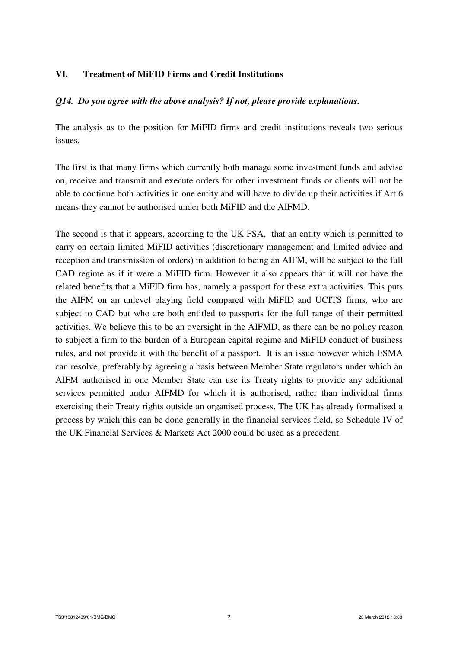#### **VI. Treatment of MiFID Firms and Credit Institutions**

#### *Q14. Do you agree with the above analysis? If not, please provide explanations.*

The analysis as to the position for MiFID firms and credit institutions reveals two serious issues.

The first is that many firms which currently both manage some investment funds and advise on, receive and transmit and execute orders for other investment funds or clients will not be able to continue both activities in one entity and will have to divide up their activities if Art 6 means they cannot be authorised under both MiFID and the AIFMD.

The second is that it appears, according to the UK FSA, that an entity which is permitted to carry on certain limited MiFID activities (discretionary management and limited advice and reception and transmission of orders) in addition to being an AIFM, will be subject to the full CAD regime as if it were a MiFID firm. However it also appears that it will not have the related benefits that a MiFID firm has, namely a passport for these extra activities. This puts the AIFM on an unlevel playing field compared with MiFID and UCITS firms, who are subject to CAD but who are both entitled to passports for the full range of their permitted activities. We believe this to be an oversight in the AIFMD, as there can be no policy reason to subject a firm to the burden of a European capital regime and MiFID conduct of business rules, and not provide it with the benefit of a passport. It is an issue however which ESMA can resolve, preferably by agreeing a basis between Member State regulators under which an AIFM authorised in one Member State can use its Treaty rights to provide any additional services permitted under AIFMD for which it is authorised, rather than individual firms exercising their Treaty rights outside an organised process. The UK has already formalised a process by which this can be done generally in the financial services field, so Schedule IV of the UK Financial Services & Markets Act 2000 could be used as a precedent.